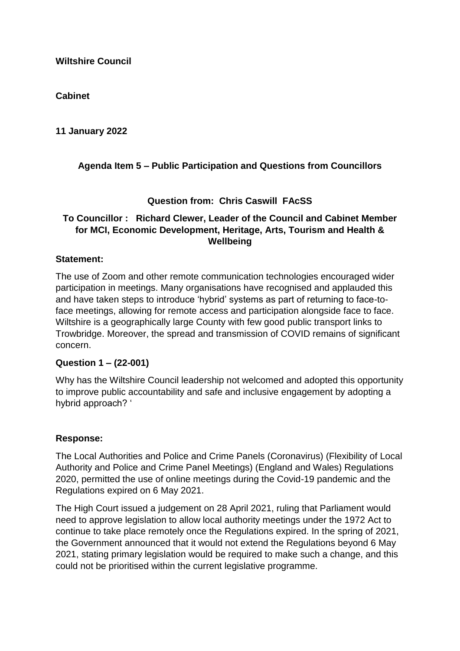#### **Cabinet**

**11 January 2022**

# **Agenda Item 5 – Public Participation and Questions from Councillors**

#### **Question from: Chris Caswill FAcSS**

## **To Councillor : Richard Clewer, Leader of the Council and Cabinet Member for MCI, Economic Development, Heritage, Arts, Tourism and Health & Wellbeing**

#### **Statement:**

The use of Zoom and other remote communication technologies encouraged wider participation in meetings. Many organisations have recognised and applauded this and have taken steps to introduce 'hybrid' systems as part of returning to face-toface meetings, allowing for remote access and participation alongside face to face. Wiltshire is a geographically large County with few good public transport links to Trowbridge. Moreover, the spread and transmission of COVID remains of significant concern.

#### **Question 1 – (22-001)**

Why has the Wiltshire Council leadership not welcomed and adopted this opportunity to improve public accountability and safe and inclusive engagement by adopting a hybrid approach? '

#### **Response:**

The Local Authorities and Police and Crime Panels (Coronavirus) (Flexibility of Local Authority and Police and Crime Panel Meetings) (England and Wales) Regulations 2020, permitted the use of online meetings during the Covid-19 pandemic and the Regulations expired on 6 May 2021.

The High Court issued a judgement on 28 April 2021, ruling that Parliament would need to approve legislation to allow local authority meetings under the 1972 Act to continue to take place remotely once the Regulations expired. In the spring of 2021, the Government announced that it would not extend the Regulations beyond 6 May 2021, stating primary legislation would be required to make such a change, and this could not be prioritised within the current legislative programme.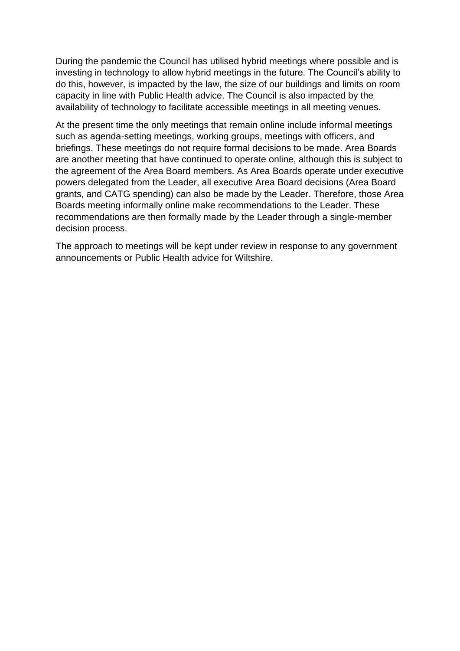During the pandemic the Council has utilised hybrid meetings where possible and is investing in technology to allow hybrid meetings in the future. The Council's ability to do this, however, is impacted by the law, the size of our buildings and limits on room capacity in line with Public Health advice. The Council is also impacted by the availability of technology to facilitate accessible meetings in all meeting venues.

At the present time the only meetings that remain online include informal meetings such as agenda-setting meetings, working groups, meetings with officers, and briefings. These meetings do not require formal decisions to be made. Area Boards are another meeting that have continued to operate online, although this is subject to the agreement of the Area Board members. As Area Boards operate under executive powers delegated from the Leader, all executive Area Board decisions (Area Board grants, and CATG spending) can also be made by the Leader. Therefore, those Area Boards meeting informally online make recommendations to the Leader. These recommendations are then formally made by the Leader through a single-member decision process.

The approach to meetings will be kept under review in response to any government announcements or Public Health advice for Wiltshire.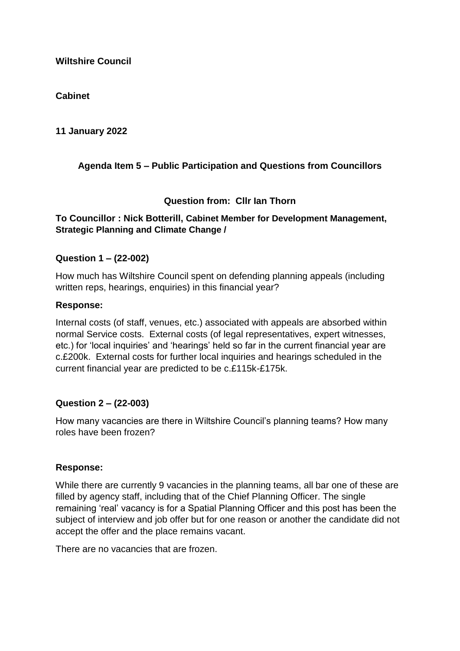#### **Cabinet**

**11 January 2022**

# **Agenda Item 5 – Public Participation and Questions from Councillors**

#### **Question from: Cllr Ian Thorn**

#### **To Councillor : Nick Botterill, Cabinet Member for Development Management, Strategic Planning and Climate Change /**

#### **Question 1 – (22-002)**

How much has Wiltshire Council spent on defending planning appeals (including written reps, hearings, enquiries) in this financial year?

#### **Response:**

Internal costs (of staff, venues, etc.) associated with appeals are absorbed within normal Service costs. External costs (of legal representatives, expert witnesses, etc.) for 'local inquiries' and 'hearings' held so far in the current financial year are c.£200k. External costs for further local inquiries and hearings scheduled in the current financial year are predicted to be c.£115k-£175k.

#### **Question 2 – (22-003)**

How many vacancies are there in Wiltshire Council's planning teams? How many roles have been frozen?

#### **Response:**

While there are currently 9 vacancies in the planning teams, all bar one of these are filled by agency staff, including that of the Chief Planning Officer. The single remaining 'real' vacancy is for a Spatial Planning Officer and this post has been the subject of interview and job offer but for one reason or another the candidate did not accept the offer and the place remains vacant.

There are no vacancies that are frozen.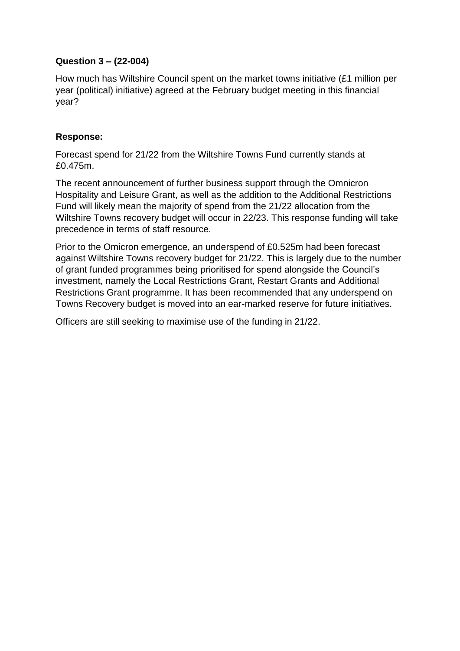## **Question 3 – (22-004)**

How much has Wiltshire Council spent on the market towns initiative (£1 million per year (political) initiative) agreed at the February budget meeting in this financial year?

#### **Response:**

Forecast spend for 21/22 from the Wiltshire Towns Fund currently stands at £0.475m.

The recent announcement of further business support through the Omnicron Hospitality and Leisure Grant, as well as the addition to the Additional Restrictions Fund will likely mean the majority of spend from the 21/22 allocation from the Wiltshire Towns recovery budget will occur in 22/23. This response funding will take precedence in terms of staff resource.

Prior to the Omicron emergence, an underspend of £0.525m had been forecast against Wiltshire Towns recovery budget for 21/22. This is largely due to the number of grant funded programmes being prioritised for spend alongside the Council's investment, namely the Local Restrictions Grant, Restart Grants and Additional Restrictions Grant programme. It has been recommended that any underspend on Towns Recovery budget is moved into an ear-marked reserve for future initiatives.

Officers are still seeking to maximise use of the funding in 21/22.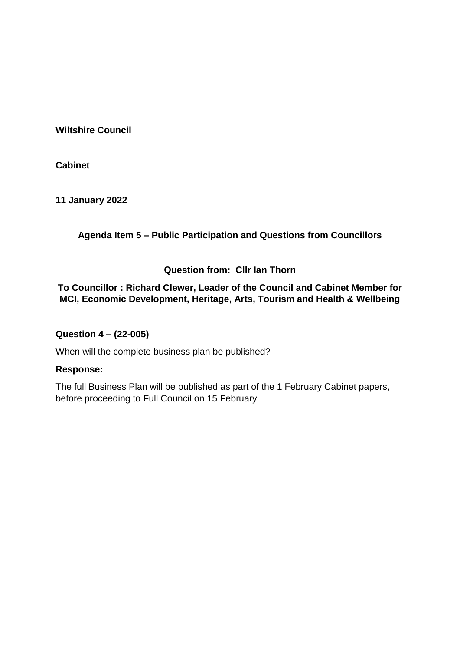**Cabinet**

**11 January 2022**

**Agenda Item 5 – Public Participation and Questions from Councillors**

## **Question from: Cllr Ian Thorn**

**To Councillor : Richard Clewer, Leader of the Council and Cabinet Member for MCI, Economic Development, Heritage, Arts, Tourism and Health & Wellbeing**

## **Question 4 – (22-005)**

When will the complete business plan be published?

## **Response:**

The full Business Plan will be published as part of the 1 February Cabinet papers, before proceeding to Full Council on 15 February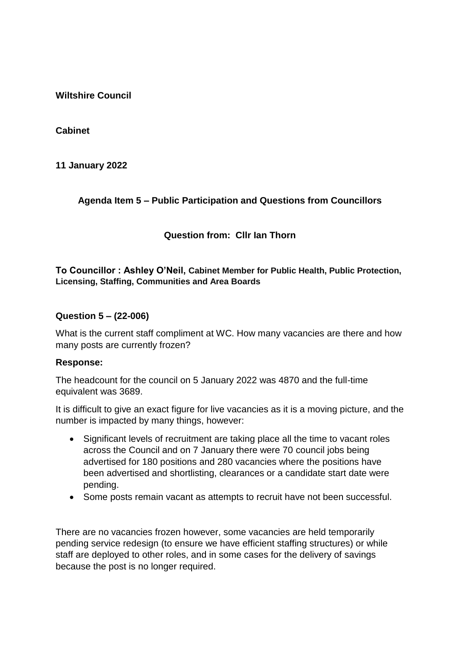**Cabinet**

**11 January 2022**

## **Agenda Item 5 – Public Participation and Questions from Councillors**

# **Question from: Cllr Ian Thorn**

#### **To Councillor : Ashley O'Neil, Cabinet Member for Public Health, Public Protection, Licensing, Staffing, Communities and Area Boards**

#### **Question 5 – (22-006)**

What is the current staff compliment at WC. How many vacancies are there and how many posts are currently frozen?

#### **Response:**

The headcount for the council on 5 January 2022 was 4870 and the full-time equivalent was 3689.

It is difficult to give an exact figure for live vacancies as it is a moving picture, and the number is impacted by many things, however:

- Significant levels of recruitment are taking place all the time to vacant roles across the Council and on 7 January there were 70 council jobs being advertised for 180 positions and 280 vacancies where the positions have been advertised and shortlisting, clearances or a candidate start date were pending.
- Some posts remain vacant as attempts to recruit have not been successful.

There are no vacancies frozen however, some vacancies are held temporarily pending service redesign (to ensure we have efficient staffing structures) or while staff are deployed to other roles, and in some cases for the delivery of savings because the post is no longer required.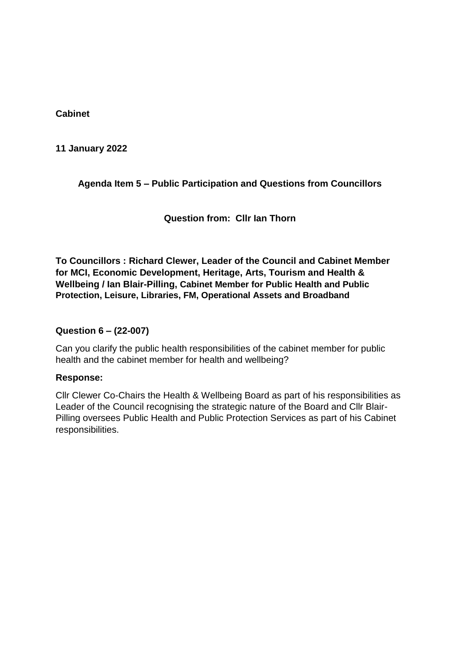**Cabinet**

**11 January 2022**

# **Agenda Item 5 – Public Participation and Questions from Councillors**

**Question from: Cllr Ian Thorn**

**To Councillors : Richard Clewer, Leader of the Council and Cabinet Member for MCI, Economic Development, Heritage, Arts, Tourism and Health & Wellbeing / Ian Blair-Pilling, Cabinet Member for Public Health and Public Protection, Leisure, Libraries, FM, Operational Assets and Broadband**

## **Question 6 – (22-007)**

Can you clarify the public health responsibilities of the cabinet member for public health and the cabinet member for health and wellbeing?

#### **Response:**

Cllr Clewer Co-Chairs the Health & Wellbeing Board as part of his responsibilities as Leader of the Council recognising the strategic nature of the Board and Cllr Blair-Pilling oversees Public Health and Public Protection Services as part of his Cabinet responsibilities.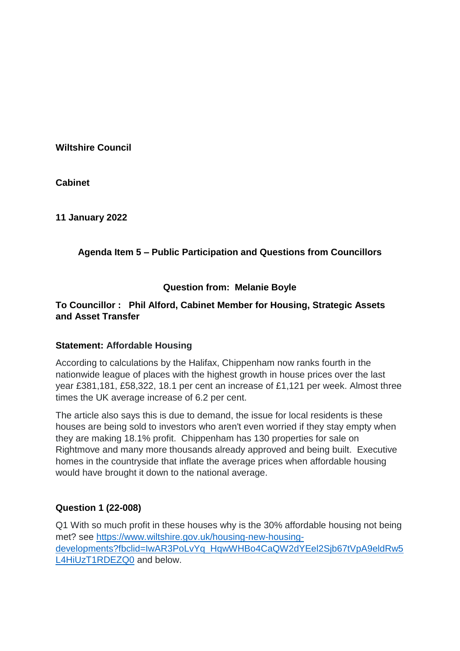**Cabinet**

**11 January 2022**

# **Agenda Item 5 – Public Participation and Questions from Councillors**

## **Question from: Melanie Boyle**

## **To Councillor : Phil Alford, Cabinet Member for Housing, Strategic Assets and Asset Transfer**

## **Statement: Affordable Housing**

According to calculations by the Halifax, Chippenham now ranks fourth in the nationwide league of places with the highest growth in house prices over the last year £381,181, £58,322, 18.1 per cent an increase of £1,121 per week. Almost three times the UK average increase of 6.2 per cent.

The article also says this is due to demand, the issue for local residents is these houses are being sold to investors who aren't even worried if they stay empty when they are making 18.1% profit. Chippenham has 130 properties for sale on Rightmove and many more thousands already approved and being built. Executive homes in the countryside that inflate the average prices when affordable housing would have brought it down to the national average.

## **Question 1 (22-008)**

Q1 With so much profit in these houses why is the 30% affordable housing not being met? see [https://www.wiltshire.gov.uk/housing-new-housing](https://eur02.safelinks.protection.outlook.com/?url=https%3A%2F%2Fwww.wiltshire.gov.uk%2Fhousing-new-housing-developments%3Ffbclid%3DIwAR3PoLvYq_HqwWHBo4CaQW2dYEel2Sjb67tVpA9eldRw5L4HiUzT1RDEZQ0&data=04%7C01%7Cfiona.amor%40wiltshire.gov.uk%7C7a075d38ffa1445f1f1308d9d01f6699%7C5546e75e3be14813b0ff26651ea2fe19%7C0%7C0%7C637769655545415791%7CUnknown%7CTWFpbGZsb3d8eyJWIjoiMC4wLjAwMDAiLCJQIjoiV2luMzIiLCJBTiI6Ik1haWwiLCJXVCI6Mn0%3D%7C3000&sdata=IZhgxP4rQ43q0CRqUtPf0uWfTEsatB6Mc5rYnJ8Y7fQ%3D&reserved=0)[developments?fbclid=IwAR3PoLvYq\\_HqwWHBo4CaQW2dYEel2Sjb67tVpA9eldRw5](https://eur02.safelinks.protection.outlook.com/?url=https%3A%2F%2Fwww.wiltshire.gov.uk%2Fhousing-new-housing-developments%3Ffbclid%3DIwAR3PoLvYq_HqwWHBo4CaQW2dYEel2Sjb67tVpA9eldRw5L4HiUzT1RDEZQ0&data=04%7C01%7Cfiona.amor%40wiltshire.gov.uk%7C7a075d38ffa1445f1f1308d9d01f6699%7C5546e75e3be14813b0ff26651ea2fe19%7C0%7C0%7C637769655545415791%7CUnknown%7CTWFpbGZsb3d8eyJWIjoiMC4wLjAwMDAiLCJQIjoiV2luMzIiLCJBTiI6Ik1haWwiLCJXVCI6Mn0%3D%7C3000&sdata=IZhgxP4rQ43q0CRqUtPf0uWfTEsatB6Mc5rYnJ8Y7fQ%3D&reserved=0) [L4HiUzT1RDEZQ0](https://eur02.safelinks.protection.outlook.com/?url=https%3A%2F%2Fwww.wiltshire.gov.uk%2Fhousing-new-housing-developments%3Ffbclid%3DIwAR3PoLvYq_HqwWHBo4CaQW2dYEel2Sjb67tVpA9eldRw5L4HiUzT1RDEZQ0&data=04%7C01%7Cfiona.amor%40wiltshire.gov.uk%7C7a075d38ffa1445f1f1308d9d01f6699%7C5546e75e3be14813b0ff26651ea2fe19%7C0%7C0%7C637769655545415791%7CUnknown%7CTWFpbGZsb3d8eyJWIjoiMC4wLjAwMDAiLCJQIjoiV2luMzIiLCJBTiI6Ik1haWwiLCJXVCI6Mn0%3D%7C3000&sdata=IZhgxP4rQ43q0CRqUtPf0uWfTEsatB6Mc5rYnJ8Y7fQ%3D&reserved=0) and below.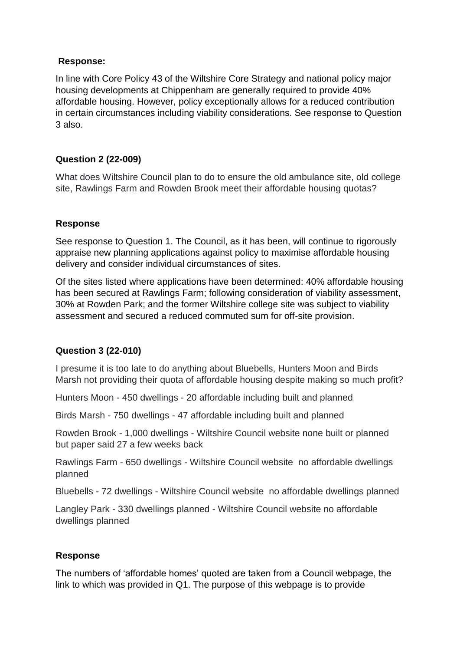## **Response:**

In line with Core Policy 43 of the Wiltshire Core Strategy and national policy major housing developments at Chippenham are generally required to provide 40% affordable housing. However, policy exceptionally allows for a reduced contribution in certain circumstances including viability considerations. See response to Question 3 also.

# **Question 2 (22-009)**

What does Wiltshire Council plan to do to ensure the old ambulance site, old college site, Rawlings Farm and Rowden Brook meet their affordable housing quotas?

# **Response**

See response to Question 1. The Council, as it has been, will continue to rigorously appraise new planning applications against policy to maximise affordable housing delivery and consider individual circumstances of sites.

Of the sites listed where applications have been determined: 40% affordable housing has been secured at Rawlings Farm; following consideration of viability assessment, 30% at Rowden Park; and the former Wiltshire college site was subject to viability assessment and secured a reduced commuted sum for off-site provision.

# **Question 3 (22-010)**

I presume it is too late to do anything about Bluebells, Hunters Moon and Birds Marsh not providing their quota of affordable housing despite making so much profit?

Hunters Moon - 450 dwellings - 20 affordable including built and planned

Birds Marsh - 750 dwellings - 47 affordable including built and planned

Rowden Brook - 1,000 dwellings - Wiltshire Council website none built or planned but paper said 27 a few weeks back

Rawlings Farm - 650 dwellings - Wiltshire Council website no affordable dwellings planned

Bluebells - 72 dwellings - Wiltshire Council website no affordable dwellings planned

Langley Park - 330 dwellings planned - Wiltshire Council website no affordable dwellings planned

## **Response**

The numbers of 'affordable homes' quoted are taken from a Council webpage, the link to which was provided in Q1. The purpose of this webpage is to provide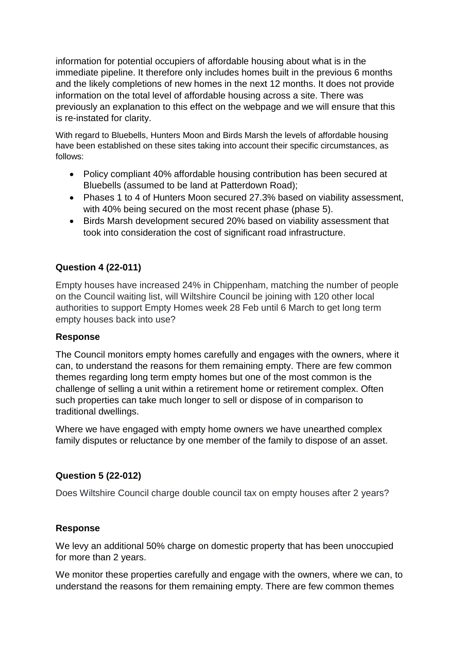information for potential occupiers of affordable housing about what is in the immediate pipeline. It therefore only includes homes built in the previous 6 months and the likely completions of new homes in the next 12 months. It does not provide information on the total level of affordable housing across a site. There was previously an explanation to this effect on the webpage and we will ensure that this is re-instated for clarity.

With regard to Bluebells, Hunters Moon and Birds Marsh the levels of affordable housing have been established on these sites taking into account their specific circumstances, as follows:

- Policy compliant 40% affordable housing contribution has been secured at Bluebells (assumed to be land at Patterdown Road);
- Phases 1 to 4 of Hunters Moon secured 27.3% based on viability assessment, with 40% being secured on the most recent phase (phase 5).
- Birds Marsh development secured 20% based on viability assessment that took into consideration the cost of significant road infrastructure.

# **Question 4 (22-011)**

Empty houses have increased 24% in Chippenham, matching the number of people on the Council waiting list, will Wiltshire Council be joining with 120 other local authorities to support Empty Homes week 28 Feb until 6 March to get long term empty houses back into use?

#### **Response**

The Council monitors empty homes carefully and engages with the owners, where it can, to understand the reasons for them remaining empty. There are few common themes regarding long term empty homes but one of the most common is the challenge of selling a unit within a retirement home or retirement complex. Often such properties can take much longer to sell or dispose of in comparison to traditional dwellings.

Where we have engaged with empty home owners we have unearthed complex family disputes or reluctance by one member of the family to dispose of an asset.

## **Question 5 (22-012)**

Does Wiltshire Council charge double council tax on empty houses after 2 years?

## **Response**

We levy an additional 50% charge on domestic property that has been unoccupied for more than 2 years.

We monitor these properties carefully and engage with the owners, where we can, to understand the reasons for them remaining empty. There are few common themes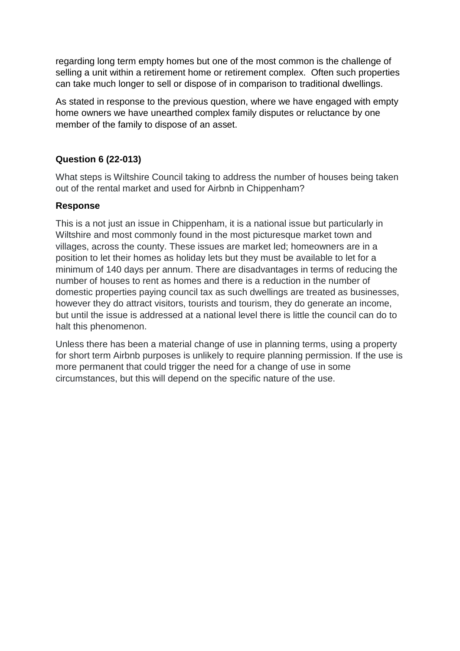regarding long term empty homes but one of the most common is the challenge of selling a unit within a retirement home or retirement complex. Often such properties can take much longer to sell or dispose of in comparison to traditional dwellings.

As stated in response to the previous question, where we have engaged with empty home owners we have unearthed complex family disputes or reluctance by one member of the family to dispose of an asset.

# **Question 6 (22-013)**

What steps is Wiltshire Council taking to address the number of houses being taken out of the rental market and used for Airbnb in Chippenham?

## **Response**

This is a not just an issue in Chippenham, it is a national issue but particularly in Wiltshire and most commonly found in the most picturesque market town and villages, across the county. These issues are market led; homeowners are in a position to let their homes as holiday lets but they must be available to let for a minimum of 140 days per annum. There are disadvantages in terms of reducing the number of houses to rent as homes and there is a reduction in the number of domestic properties paying council tax as such dwellings are treated as businesses, however they do attract visitors, tourists and tourism, they do generate an income, but until the issue is addressed at a national level there is little the council can do to halt this phenomenon.

Unless there has been a material change of use in planning terms, using a property for short term Airbnb purposes is unlikely to require planning permission. If the use is more permanent that could trigger the need for a change of use in some circumstances, but this will depend on the specific nature of the use.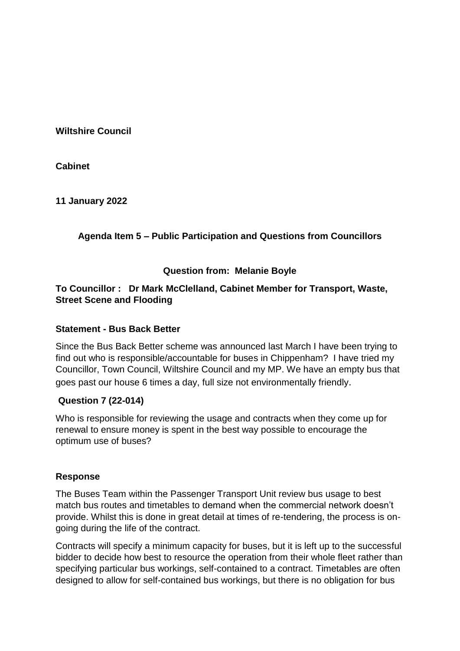**Cabinet**

**11 January 2022**

# **Agenda Item 5 – Public Participation and Questions from Councillors**

## **Question from: Melanie Boyle**

## **To Councillor : Dr Mark McClelland, Cabinet Member for Transport, Waste, Street Scene and Flooding**

#### **Statement - Bus Back Better**

Since the Bus Back Better scheme was announced last March I have been trying to find out who is responsible/accountable for buses in Chippenham? I have tried my Councillor, Town Council, Wiltshire Council and my MP. We have an empty bus that goes past our house 6 times a day, full size not environmentally friendly.

## **Question 7 (22-014)**

Who is responsible for reviewing the usage and contracts when they come up for renewal to ensure money is spent in the best way possible to encourage the optimum use of buses?

#### **Response**

The Buses Team within the Passenger Transport Unit review bus usage to best match bus routes and timetables to demand when the commercial network doesn't provide. Whilst this is done in great detail at times of re-tendering, the process is ongoing during the life of the contract.

Contracts will specify a minimum capacity for buses, but it is left up to the successful bidder to decide how best to resource the operation from their whole fleet rather than specifying particular bus workings, self-contained to a contract. Timetables are often designed to allow for self-contained bus workings, but there is no obligation for bus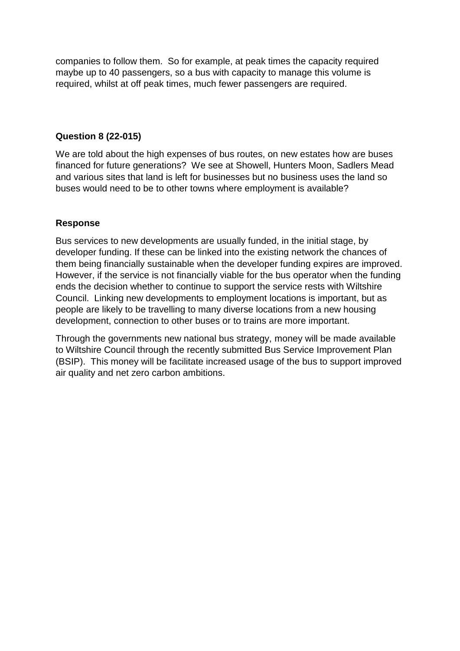companies to follow them. So for example, at peak times the capacity required maybe up to 40 passengers, so a bus with capacity to manage this volume is required, whilst at off peak times, much fewer passengers are required.

## **Question 8 (22-015)**

We are told about the high expenses of bus routes, on new estates how are buses financed for future generations? We see at Showell, Hunters Moon, Sadlers Mead and various sites that land is left for businesses but no business uses the land so buses would need to be to other towns where employment is available?

## **Response**

Bus services to new developments are usually funded, in the initial stage, by developer funding. If these can be linked into the existing network the chances of them being financially sustainable when the developer funding expires are improved. However, if the service is not financially viable for the bus operator when the funding ends the decision whether to continue to support the service rests with Wiltshire Council. Linking new developments to employment locations is important, but as people are likely to be travelling to many diverse locations from a new housing development, connection to other buses or to trains are more important.

Through the governments new national bus strategy, money will be made available to Wiltshire Council through the recently submitted Bus Service Improvement Plan (BSIP). This money will be facilitate increased usage of the bus to support improved air quality and net zero carbon ambitions.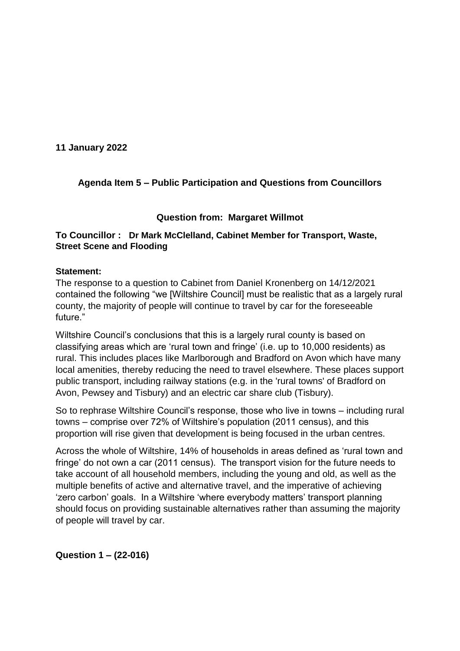**11 January 2022**

# **Agenda Item 5 – Public Participation and Questions from Councillors**

#### **Question from: Margaret Willmot**

### **To Councillor : Dr Mark McClelland, Cabinet Member for Transport, Waste, Street Scene and Flooding**

#### **Statement:**

The response to a question to Cabinet from Daniel Kronenberg on 14/12/2021 contained the following "we [Wiltshire Council] must be realistic that as a largely rural county, the majority of people will continue to travel by car for the foreseeable future."

Wiltshire Council's conclusions that this is a largely rural county is based on classifying areas which are 'rural town and fringe' (i.e. up to 10,000 residents) as rural. This includes places like Marlborough and Bradford on Avon which have many local amenities, thereby reducing the need to travel elsewhere. These places support public transport, including railway stations (e.g. in the 'rural towns' of Bradford on Avon, Pewsey and Tisbury) and an electric car share club (Tisbury).

So to rephrase Wiltshire Council's response, those who live in towns – including rural towns – comprise over 72% of Wiltshire's population (2011 census), and this proportion will rise given that development is being focused in the urban centres.

Across the whole of Wiltshire, 14% of households in areas defined as 'rural town and fringe' do not own a car (2011 census). The transport vision for the future needs to take account of all household members, including the young and old, as well as the multiple benefits of active and alternative travel, and the imperative of achieving 'zero carbon' goals. In a Wiltshire 'where everybody matters' transport planning should focus on providing sustainable alternatives rather than assuming the majority of people will travel by car.

**Question 1 – (22-016)**